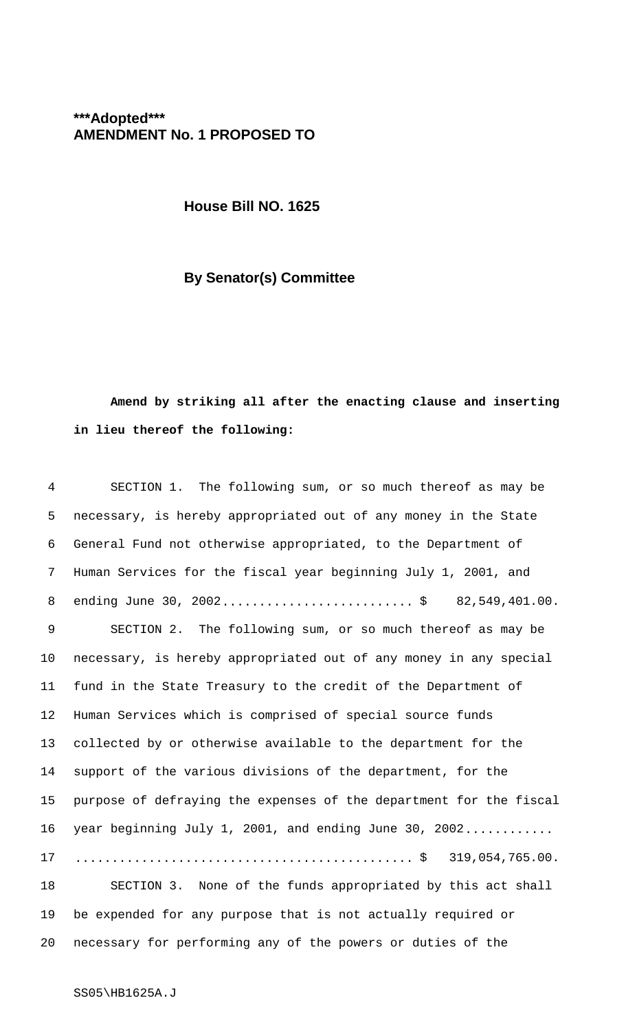## **\*\*\*Adopted\*\*\* AMENDMENT No. 1 PROPOSED TO**

**House Bill NO. 1625**

## **By Senator(s) Committee**

## **Amend by striking all after the enacting clause and inserting in lieu thereof the following:**

| 4  | SECTION 1. The following sum, or so much thereof as may be                                                           |
|----|----------------------------------------------------------------------------------------------------------------------|
| 5  | necessary, is hereby appropriated out of any money in the State                                                      |
| 6  | General Fund not otherwise appropriated, to the Department of                                                        |
| 7  | Human Services for the fiscal year beginning July 1, 2001, and                                                       |
| 8  | ending June 30, 2002\$ 82,549,401.00.                                                                                |
| 9  | SECTION 2. The following sum, or so much thereof as may be                                                           |
| 10 | necessary, is hereby appropriated out of any money in any special                                                    |
| 11 | fund in the State Treasury to the credit of the Department of                                                        |
| 12 | Human Services which is comprised of special source funds                                                            |
| 13 | collected by or otherwise available to the department for the                                                        |
| 14 | support of the various divisions of the department, for the                                                          |
| 15 | purpose of defraying the expenses of the department for the fiscal                                                   |
| 16 | year beginning July 1, 2001, and ending June 30, 2002                                                                |
| 17 | $\ldots \ldots \ldots \ldots \ldots \ldots \ldots \ldots \ldots \ldots \ldots \ldots \ldots \approx 319,054,765.00.$ |
| 18 | SECTION 3. None of the funds appropriated by this act shall                                                          |
| 19 | be expended for any purpose that is not actually required or                                                         |
| 20 | necessary for performing any of the powers or duties of the                                                          |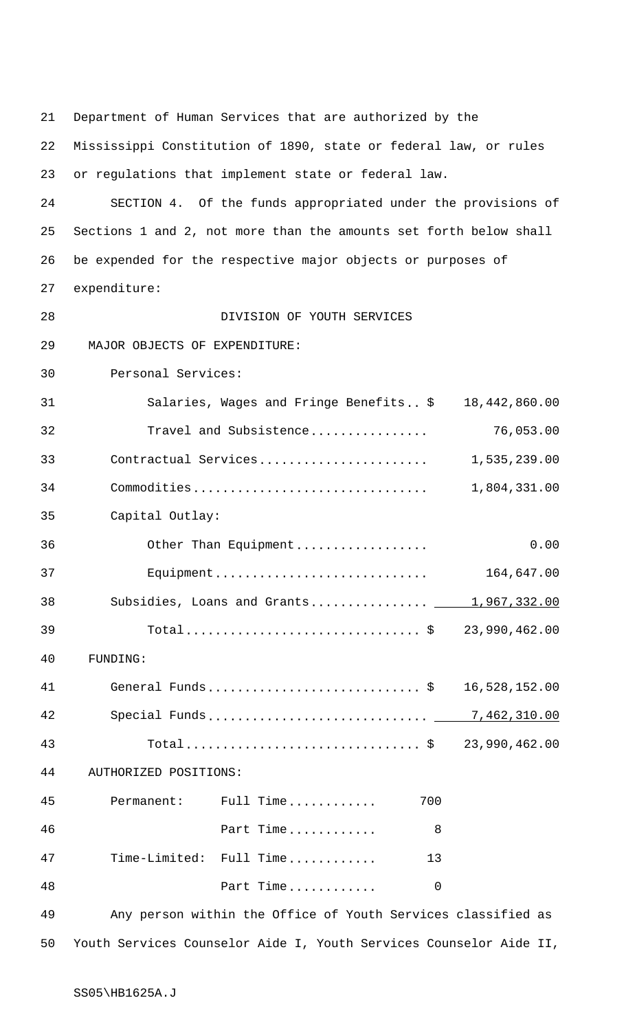21 Department of Human Services that are authorized by the 22 Mississippi Constitution of 1890, state or federal law, or rules 23 or regulations that implement state or federal law. 24 SECTION 4. Of the funds appropriated under the provisions of 25 Sections 1 and 2, not more than the amounts set forth below shall 26 be expended for the respective major objects or purposes of 27 expenditure: 28 DIVISION OF YOUTH SERVICES 29 MAJOR OBJECTS OF EXPENDITURE: 30 Personal Services: 31 Salaries, Wages and Fringe Benefits.. \$ 18,442,860.00 32 Travel and Subsistence................ 76,053.00 33 Contractual Services....................... 1,535,239.00 34 Commodities................................ 1,804,331.00 35 Capital Outlay: 36 Other Than Equipment.................. 0.00 37 Equipment............................. 164,647.00 38 Subsidies, Loans and Grants................ 1,967,332.00 39 Total................................ \$ 23,990,462.00 40 FUNDING: 41 General Funds............................. \$ 16,528,152.00 42 Special Funds.............................. 7,462,310.00 43 Total................................ \$ 23,990,462.00 44 AUTHORIZED POSITIONS: 45 Permanent: Full Time............ 700 46 Part Time............ 8 47 Time-Limited: Full Time............ 13 48 **Part Time.............** 0 49 Any person within the Office of Youth Services classified as

50 Youth Services Counselor Aide I, Youth Services Counselor Aide II,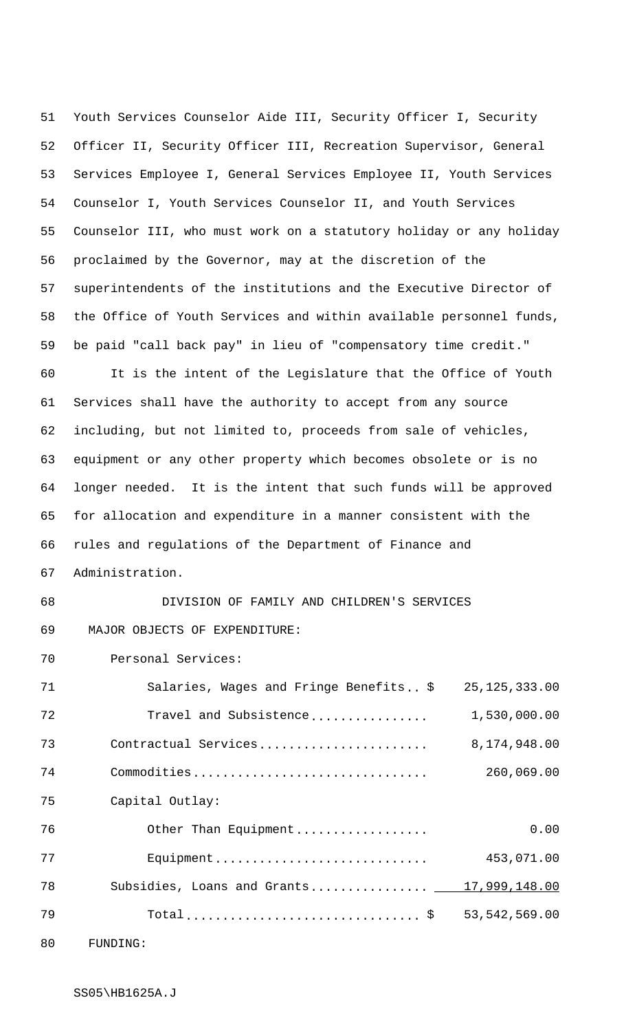Youth Services Counselor Aide III, Security Officer I, Security Officer II, Security Officer III, Recreation Supervisor, General Services Employee I, General Services Employee II, Youth Services Counselor I, Youth Services Counselor II, and Youth Services Counselor III, who must work on a statutory holiday or any holiday proclaimed by the Governor, may at the discretion of the superintendents of the institutions and the Executive Director of the Office of Youth Services and within available personnel funds, be paid "call back pay" in lieu of "compensatory time credit." It is the intent of the Legislature that the Office of Youth Services shall have the authority to accept from any source including, but not limited to, proceeds from sale of vehicles, equipment or any other property which becomes obsolete or is no longer needed. It is the intent that such funds will be approved for allocation and expenditure in a manner consistent with the rules and regulations of the Department of Finance and Administration. DIVISION OF FAMILY AND CHILDREN'S SERVICES 69 MAJOR OBJECTS OF EXPENDITURE: Personal Services: 71 Salaries, Wages and Fringe Benefits.. \$ 25,125,333.00

72 Travel and Subsistence................ 1,530,000.00 73 Contractual Services....................... 8,174,948.00 74 Commodities................................ 260,069.00 Capital Outlay: 76 Other Than Equipment.................. 0.00 77 Equipment............................. 453,071.00 78 Subsidies, Loans and Grants................ 17,999,148.00 79 Total................................ \$ 53,542,569.00 80 FUNDING: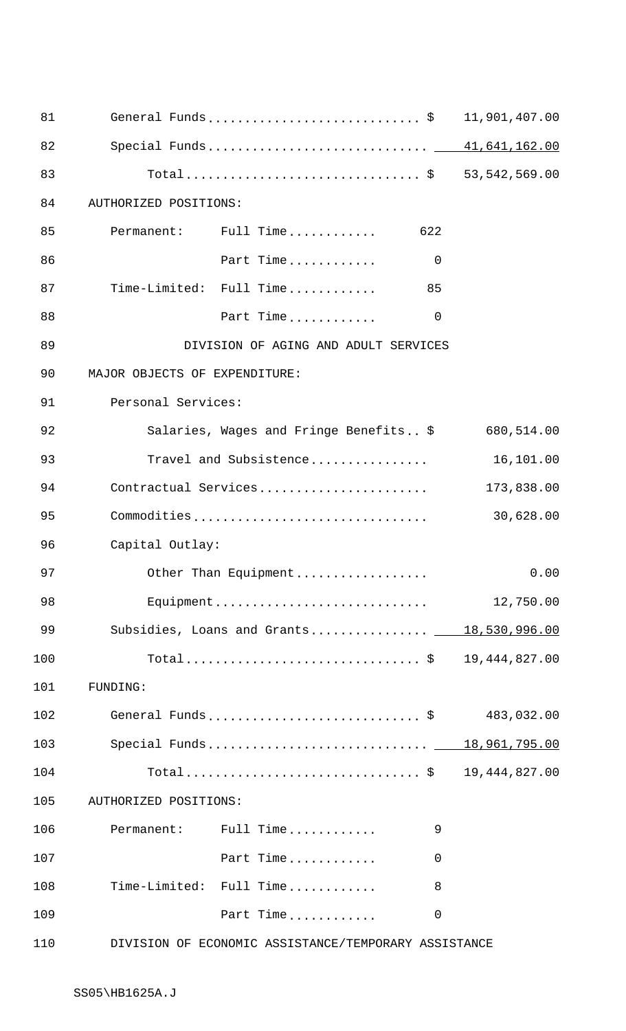| 81  |                               | General Funds\$                                      |                | 11,901,407.00 |
|-----|-------------------------------|------------------------------------------------------|----------------|---------------|
| 82  |                               |                                                      |                |               |
| 83  |                               | Total \$ 53,542,569.00                               |                |               |
| 84  | AUTHORIZED POSITIONS:         |                                                      |                |               |
| 85  |                               | Permanent: Full Time                                 | 622            |               |
| 86  |                               | Part Time                                            | $\overline{0}$ |               |
| 87  |                               | Time-Limited: Full Time                              | 85             |               |
| 88  |                               | Part Time                                            | $\mathbf 0$    |               |
| 89  |                               | DIVISION OF AGING AND ADULT SERVICES                 |                |               |
| 90  | MAJOR OBJECTS OF EXPENDITURE: |                                                      |                |               |
| 91  | Personal Services:            |                                                      |                |               |
| 92  |                               | Salaries, Wages and Fringe Benefits\$                |                | 680,514.00    |
| 93  |                               | Travel and Subsistence                               |                | 16,101.00     |
| 94  |                               | Contractual Services                                 |                | 173,838.00    |
| 95  |                               | Commodities                                          |                | 30,628.00     |
| 96  | Capital Outlay:               |                                                      |                |               |
| 97  |                               | Other Than Equipment                                 |                | 0.00          |
| 98  |                               | Equipment                                            |                | 12,750.00     |
| 99  |                               | Subsidies, Loans and Grants 18,530,996.00            |                |               |
| 100 |                               | Total\$ 19,444,827.00                                |                |               |
| 101 | FUNDING:                      |                                                      |                |               |
| 102 |                               | General Funds \$                                     |                | 483,032.00    |
| 103 |                               | Special Funds 18,961,795.00                          |                |               |
| 104 |                               |                                                      |                | 19,444,827.00 |
| 105 | AUTHORIZED POSITIONS:         |                                                      |                |               |
| 106 |                               | Permanent: Full Time                                 | 9              |               |
| 107 |                               | Part Time                                            | 0              |               |
| 108 |                               | Time-Limited: Full Time                              | 8              |               |
| 109 |                               | Part Time                                            | $\mathbf 0$    |               |
| 110 |                               | DIVISION OF ECONOMIC ASSISTANCE/TEMPORARY ASSISTANCE |                |               |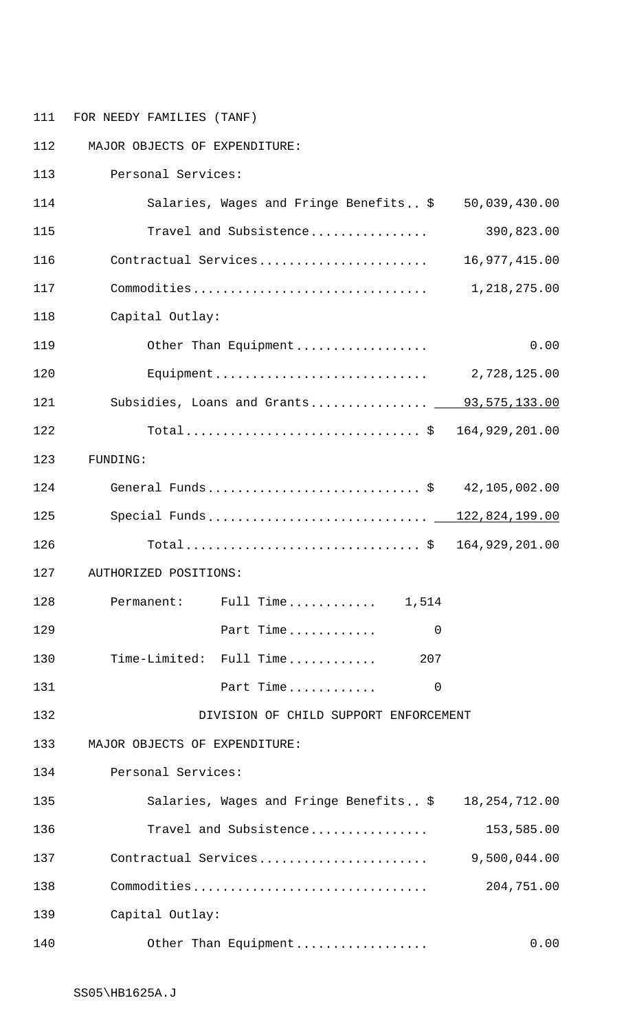111 FOR NEEDY FAMILIES (TANF)

112 MAJOR OBJECTS OF EXPENDITURE: 113 Personal Services: 114 Salaries, Wages and Fringe Benefits.. \$ 50,039,430.00 115 Travel and Subsistence................ 390,823.00 116 Contractual Services....................... 16,977,415.00 117 Commodities................................ 1,218,275.00 118 Capital Outlay: 119 Other Than Equipment.................. 0.00 120 Equipment............................. 2,728,125.00 121 Subsidies, Loans and Grants............... 93,575,133.00 122 Total................................ \$ 164,929,201.00 123 FUNDING: 124 General Funds............................. \$ 42,105,002.00 125 Special Funds.............................. 122,824,199.00 126 Total................................ \$ 164,929,201.00 127 AUTHORIZED POSITIONS: 128 Permanent: Full Time............ 1,514 129 **Part Time............** 0 130 Time-Limited: Full Time............. 207 131 **Part Time............** 0 132 DIVISION OF CHILD SUPPORT ENFORCEMENT 133 MAJOR OBJECTS OF EXPENDITURE: 134 Personal Services: 135 Salaries, Wages and Fringe Benefits.. \$ 18,254,712.00 136 Travel and Subsistence................ 153,585.00 137 Contractual Services....................... 9,500,044.00 138 Commodities................................ 204,751.00 139 Capital Outlay: 140 Other Than Equipment.................. 0.00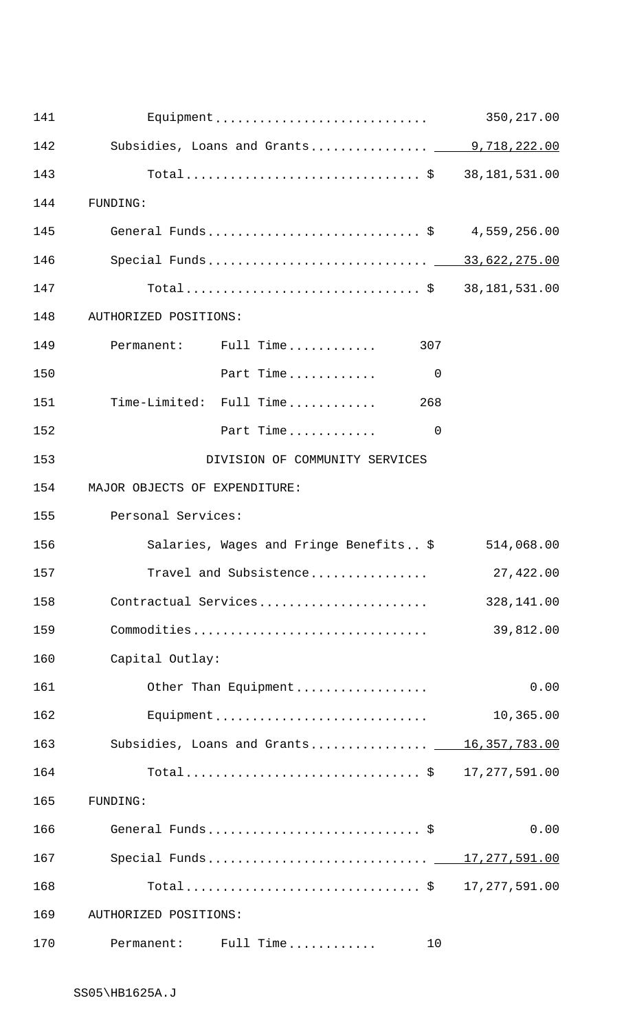| 141 |                                                   | 350,217.00      |
|-----|---------------------------------------------------|-----------------|
| 142 | Subsidies, Loans and Grants 9,718,222.00          |                 |
| 143 | Total\$ 38,181,531.00                             |                 |
| 144 | FUNDING:                                          |                 |
| 145 | General Funds\$ 4,559,256.00                      |                 |
| 146 | Special Funds 33,622,275.00                       |                 |
| 147 | Total\$ 38,181,531.00                             |                 |
| 148 | AUTHORIZED POSITIONS:                             |                 |
| 149 | Permanent: Full Time<br>307                       |                 |
| 150 | Part Time<br>$\overline{0}$                       |                 |
| 151 | Time-Limited: Full Time<br>268                    |                 |
| 152 | Part Time<br>$\overline{0}$                       |                 |
| 153 | DIVISION OF COMMUNITY SERVICES                    |                 |
| 154 | MAJOR OBJECTS OF EXPENDITURE:                     |                 |
| 155 | Personal Services:                                |                 |
| 156 | Salaries, Wages and Fringe Benefits \$ 514,068.00 |                 |
| 157 | Travel and Subsistence                            | 27,422.00       |
| 158 | Contractual Services                              | 328,141.00      |
| 159 | Commodities                                       | 39,812.00       |
| 160 | Capital Outlay:                                   |                 |
| 161 | Other Than Equipment                              | 0.00            |
| 162 | Equipment                                         | 10,365.00       |
| 163 | Subsidies, Loans and Grants 16,357,783.00         |                 |
| 164 |                                                   | 17, 277, 591.00 |
| 165 | FUNDING:                                          |                 |
| 166 | General Funds \$                                  | 0.00            |
| 167 | Special Funds 17,277,591.00                       |                 |
| 168 |                                                   | 17, 277, 591.00 |
| 169 | AUTHORIZED POSITIONS:                             |                 |
| 170 | Permanent: Full Time<br>10                        |                 |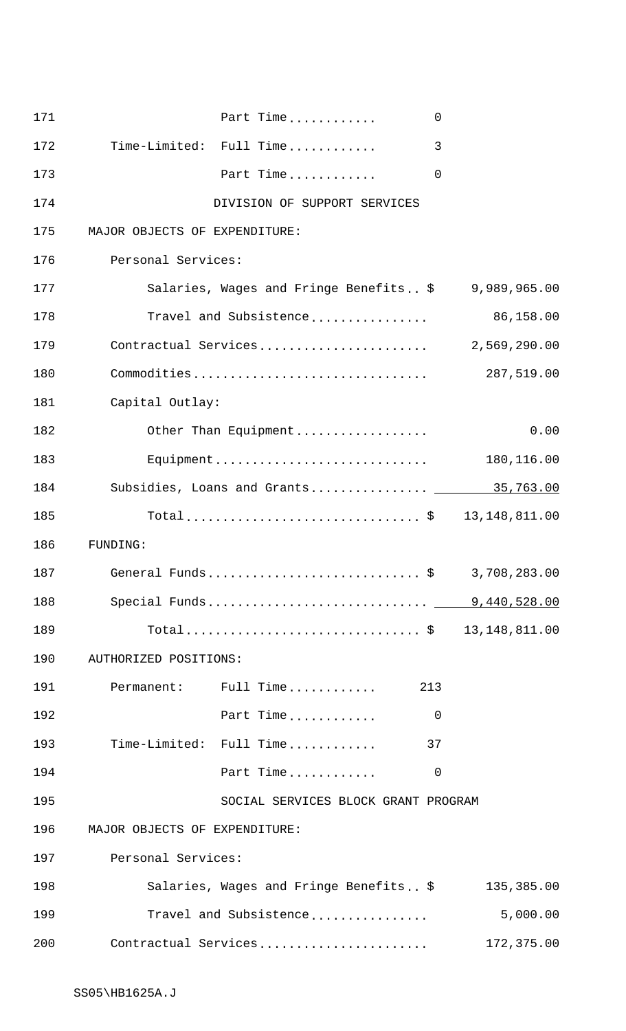| 171 | Part Time<br>$\Omega$                  |              |
|-----|----------------------------------------|--------------|
| 172 | Time-Limited: Full Time<br>3           |              |
| 173 | Part Time<br>$\mathbf 0$               |              |
| 174 | DIVISION OF SUPPORT SERVICES           |              |
| 175 | MAJOR OBJECTS OF EXPENDITURE:          |              |
| 176 | Personal Services:                     |              |
| 177 | Salaries, Wages and Fringe Benefits \$ | 9,989,965.00 |
| 178 | Travel and Subsistence                 | 86,158.00    |
| 179 | Contractual Services                   | 2,569,290.00 |
| 180 | Commodities                            | 287,519.00   |
| 181 | Capital Outlay:                        |              |
| 182 | Other Than Equipment                   | 0.00         |
| 183 |                                        | 180,116.00   |
| 184 | Subsidies, Loans and Grants 15,763.00  |              |
| 185 | Total\$ 13,148,811.00                  |              |
| 186 | FUNDING:                               |              |
| 187 | General Funds\$                        | 3,708,283.00 |
| 188 | Special Funds 9,440,528.00             |              |
| 189 | Total\$ 13,148,811.00                  |              |
| 190 | AUTHORIZED POSITIONS:                  |              |
| 191 | Permanent: Full Time<br>213            |              |
| 192 | Part Time<br>$\mathbf 0$               |              |
| 193 | Time-Limited: Full Time<br>37          |              |
| 194 | Part Time<br>0                         |              |
| 195 | SOCIAL SERVICES BLOCK GRANT PROGRAM    |              |
| 196 | MAJOR OBJECTS OF EXPENDITURE:          |              |
| 197 | Personal Services:                     |              |
| 198 | Salaries, Wages and Fringe Benefits \$ | 135,385.00   |
| 199 | Travel and Subsistence                 | 5,000.00     |
| 200 | Contractual Services                   | 172,375.00   |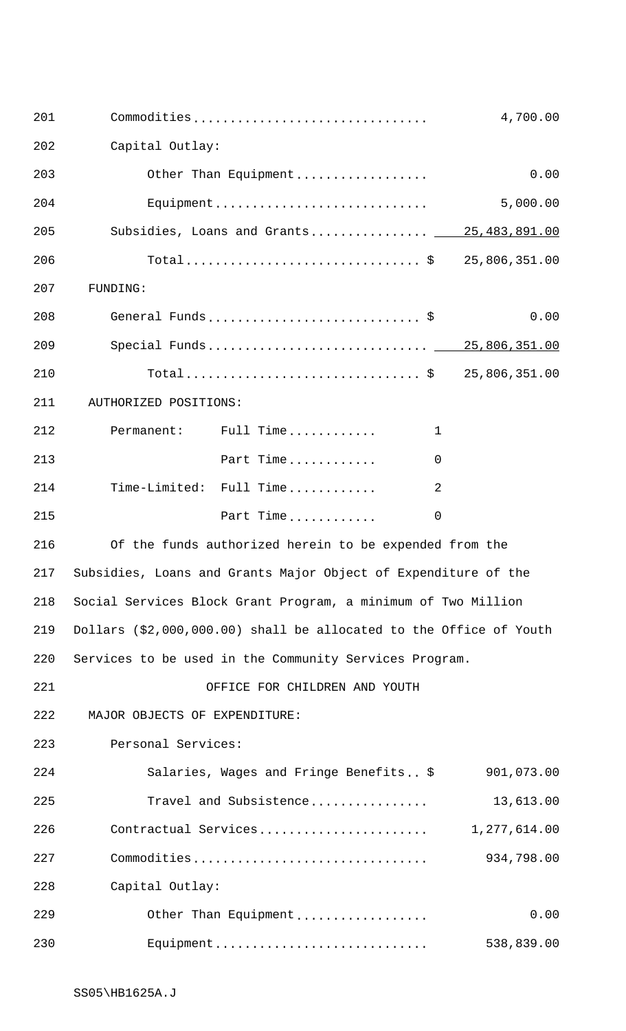| 201 | Commodities                                                        |              | 4,700.00     |
|-----|--------------------------------------------------------------------|--------------|--------------|
| 202 | Capital Outlay:                                                    |              |              |
| 203 | Other Than Equipment                                               |              | 0.00         |
| 204 | Equipment                                                          |              | 5,000.00     |
| 205 | Subsidies, Loans and Grants 185,483,891.00                         |              |              |
| 206 | Total\$ 25,806,351.00                                              |              |              |
| 207 | FUNDING:                                                           |              |              |
| 208 | General Funds \$                                                   |              | 0.00         |
| 209 |                                                                    |              |              |
| 210 | Total\$ 25,806,351.00                                              |              |              |
| 211 | AUTHORIZED POSITIONS:                                              |              |              |
| 212 | Permanent: Full Time                                               | $\mathbf{1}$ |              |
| 213 | Part Time                                                          | $\Omega$     |              |
| 214 | Time-Limited: Full Time                                            | 2            |              |
| 215 | Part Time                                                          | $\mathbf 0$  |              |
| 216 | Of the funds authorized herein to be expended from the             |              |              |
|     | 217 Subsidies, Loans and Grants Major Object of Expenditure of the |              |              |
| 218 | Social Services Block Grant Program, a minimum of Two Million      |              |              |
| 219 | Dollars (\$2,000,000.00) shall be allocated to the Office of Youth |              |              |
| 220 | Services to be used in the Community Services Program.             |              |              |
| 221 | OFFICE FOR CHILDREN AND YOUTH                                      |              |              |
| 222 | MAJOR OBJECTS OF EXPENDITURE:                                      |              |              |
| 223 | Personal Services:                                                 |              |              |
| 224 | Salaries, Wages and Fringe Benefits \$                             |              | 901,073.00   |
| 225 | Travel and Subsistence                                             |              | 13,613.00    |
| 226 | Contractual Services                                               |              | 1,277,614.00 |
| 227 | Commodities                                                        |              | 934,798.00   |
| 228 | Capital Outlay:                                                    |              |              |
| 229 | Other Than Equipment                                               |              | 0.00         |
| 230 | Equipment                                                          |              | 538,839.00   |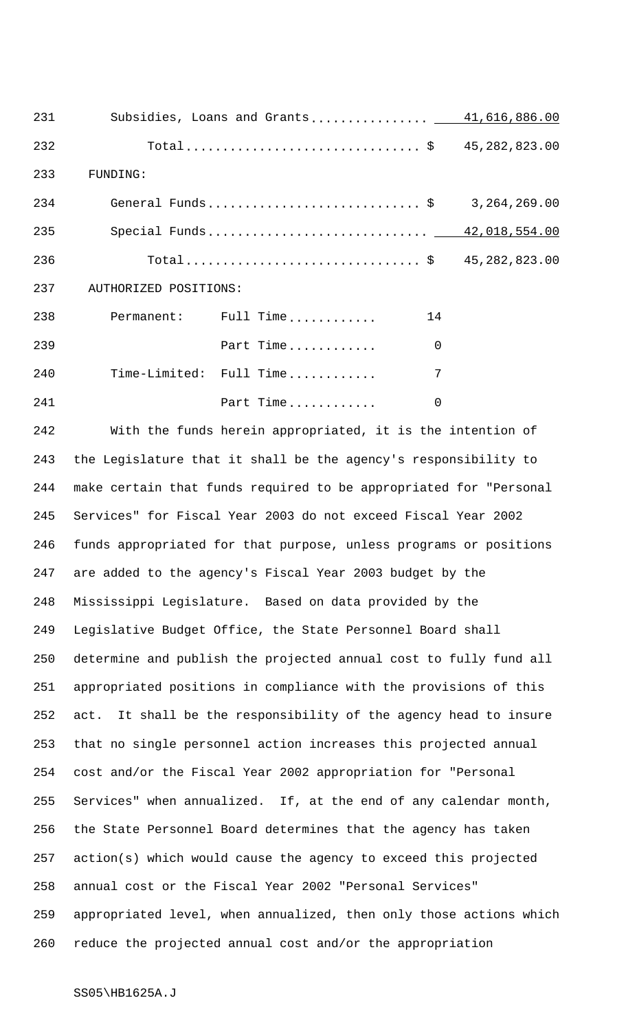| 231 |                           | Subsidies, Loans and Grants 41,616,886.00 |                |  |
|-----|---------------------------|-------------------------------------------|----------------|--|
| 232 |                           | Total\$ 45,282,823.00                     |                |  |
| 233 | FUNDING:                  |                                           |                |  |
| 234 |                           | General Funds\$  3,264,269.00             |                |  |
| 235 |                           |                                           |                |  |
| 236 |                           | Total\$ 45,282,823.00                     |                |  |
|     | 237 AUTHORIZED POSITIONS: |                                           |                |  |
| 238 |                           | Permanent: Full Time                      | 14             |  |
| 239 |                           | Part Time                                 | $\overline{0}$ |  |
| 240 |                           | Time-Limited: Full Time                   | 7              |  |
| 241 |                           | Part Time                                 | $\overline{0}$ |  |

 With the funds herein appropriated, it is the intention of the Legislature that it shall be the agency's responsibility to make certain that funds required to be appropriated for "Personal Services" for Fiscal Year 2003 do not exceed Fiscal Year 2002 funds appropriated for that purpose, unless programs or positions are added to the agency's Fiscal Year 2003 budget by the Mississippi Legislature. Based on data provided by the Legislative Budget Office, the State Personnel Board shall determine and publish the projected annual cost to fully fund all appropriated positions in compliance with the provisions of this act. It shall be the responsibility of the agency head to insure that no single personnel action increases this projected annual cost and/or the Fiscal Year 2002 appropriation for "Personal Services" when annualized. If, at the end of any calendar month, the State Personnel Board determines that the agency has taken action(s) which would cause the agency to exceed this projected annual cost or the Fiscal Year 2002 "Personal Services" appropriated level, when annualized, then only those actions which reduce the projected annual cost and/or the appropriation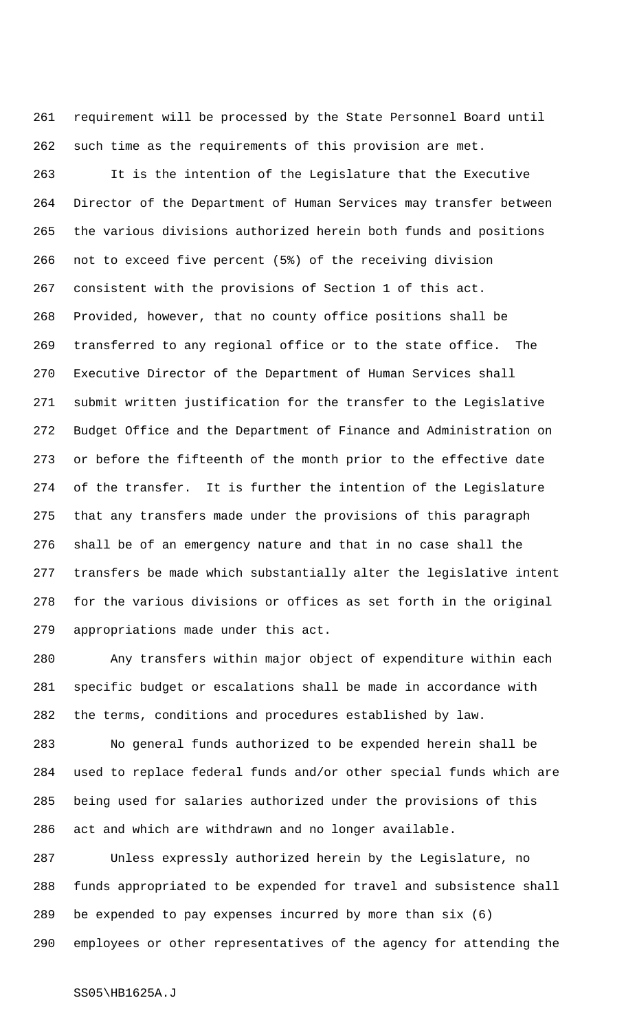requirement will be processed by the State Personnel Board until such time as the requirements of this provision are met.

 It is the intention of the Legislature that the Executive Director of the Department of Human Services may transfer between the various divisions authorized herein both funds and positions not to exceed five percent (5%) of the receiving division consistent with the provisions of Section 1 of this act. Provided, however, that no county office positions shall be transferred to any regional office or to the state office. The Executive Director of the Department of Human Services shall submit written justification for the transfer to the Legislative Budget Office and the Department of Finance and Administration on or before the fifteenth of the month prior to the effective date of the transfer. It is further the intention of the Legislature that any transfers made under the provisions of this paragraph shall be of an emergency nature and that in no case shall the transfers be made which substantially alter the legislative intent for the various divisions or offices as set forth in the original appropriations made under this act.

 Any transfers within major object of expenditure within each specific budget or escalations shall be made in accordance with the terms, conditions and procedures established by law.

 No general funds authorized to be expended herein shall be used to replace federal funds and/or other special funds which are being used for salaries authorized under the provisions of this act and which are withdrawn and no longer available.

 Unless expressly authorized herein by the Legislature, no funds appropriated to be expended for travel and subsistence shall be expended to pay expenses incurred by more than six (6) employees or other representatives of the agency for attending the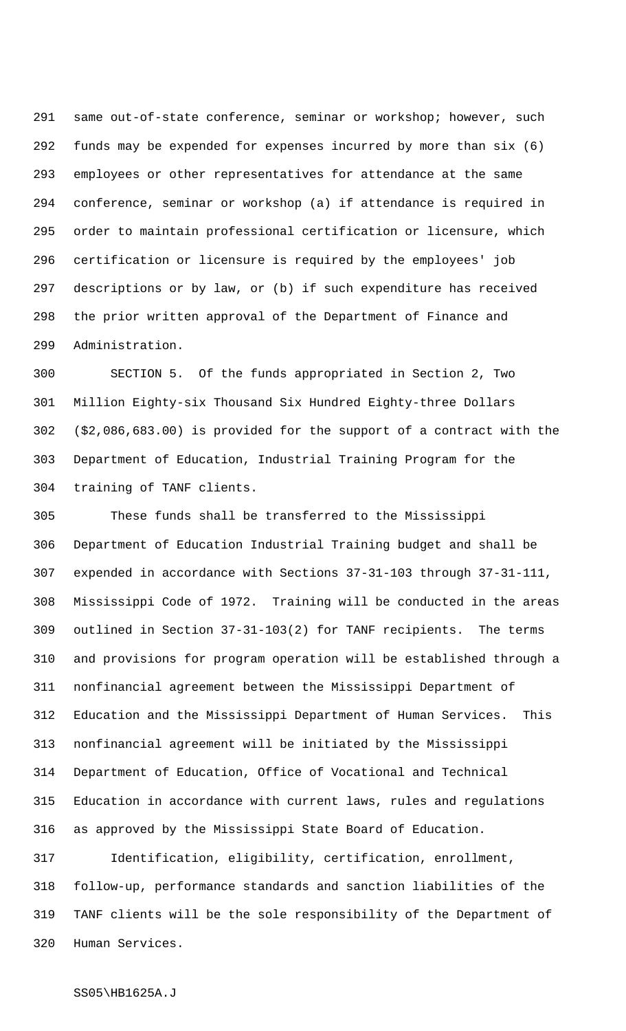same out-of-state conference, seminar or workshop; however, such funds may be expended for expenses incurred by more than six (6) employees or other representatives for attendance at the same conference, seminar or workshop (a) if attendance is required in order to maintain professional certification or licensure, which certification or licensure is required by the employees' job descriptions or by law, or (b) if such expenditure has received the prior written approval of the Department of Finance and Administration.

 SECTION 5. Of the funds appropriated in Section 2, Two Million Eighty-six Thousand Six Hundred Eighty-three Dollars (\$2,086,683.00) is provided for the support of a contract with the Department of Education, Industrial Training Program for the training of TANF clients.

 These funds shall be transferred to the Mississippi Department of Education Industrial Training budget and shall be expended in accordance with Sections 37-31-103 through 37-31-111, Mississippi Code of 1972. Training will be conducted in the areas outlined in Section 37-31-103(2) for TANF recipients. The terms and provisions for program operation will be established through a nonfinancial agreement between the Mississippi Department of Education and the Mississippi Department of Human Services. This nonfinancial agreement will be initiated by the Mississippi Department of Education, Office of Vocational and Technical Education in accordance with current laws, rules and regulations as approved by the Mississippi State Board of Education.

 Identification, eligibility, certification, enrollment, follow-up, performance standards and sanction liabilities of the TANF clients will be the sole responsibility of the Department of Human Services.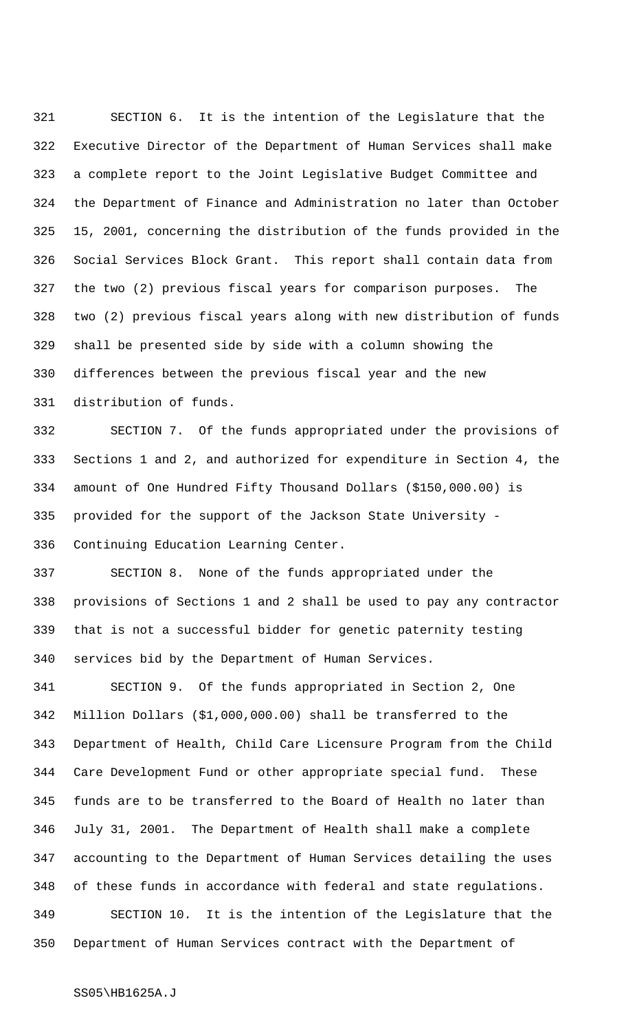SECTION 6. It is the intention of the Legislature that the Executive Director of the Department of Human Services shall make a complete report to the Joint Legislative Budget Committee and the Department of Finance and Administration no later than October 15, 2001, concerning the distribution of the funds provided in the Social Services Block Grant. This report shall contain data from the two (2) previous fiscal years for comparison purposes. The two (2) previous fiscal years along with new distribution of funds shall be presented side by side with a column showing the differences between the previous fiscal year and the new distribution of funds.

 SECTION 7. Of the funds appropriated under the provisions of Sections 1 and 2, and authorized for expenditure in Section 4, the amount of One Hundred Fifty Thousand Dollars (\$150,000.00) is provided for the support of the Jackson State University - Continuing Education Learning Center.

 SECTION 8. None of the funds appropriated under the provisions of Sections 1 and 2 shall be used to pay any contractor that is not a successful bidder for genetic paternity testing services bid by the Department of Human Services.

 SECTION 9. Of the funds appropriated in Section 2, One Million Dollars (\$1,000,000.00) shall be transferred to the Department of Health, Child Care Licensure Program from the Child Care Development Fund or other appropriate special fund. These funds are to be transferred to the Board of Health no later than July 31, 2001. The Department of Health shall make a complete accounting to the Department of Human Services detailing the uses of these funds in accordance with federal and state regulations. SECTION 10. It is the intention of the Legislature that the Department of Human Services contract with the Department of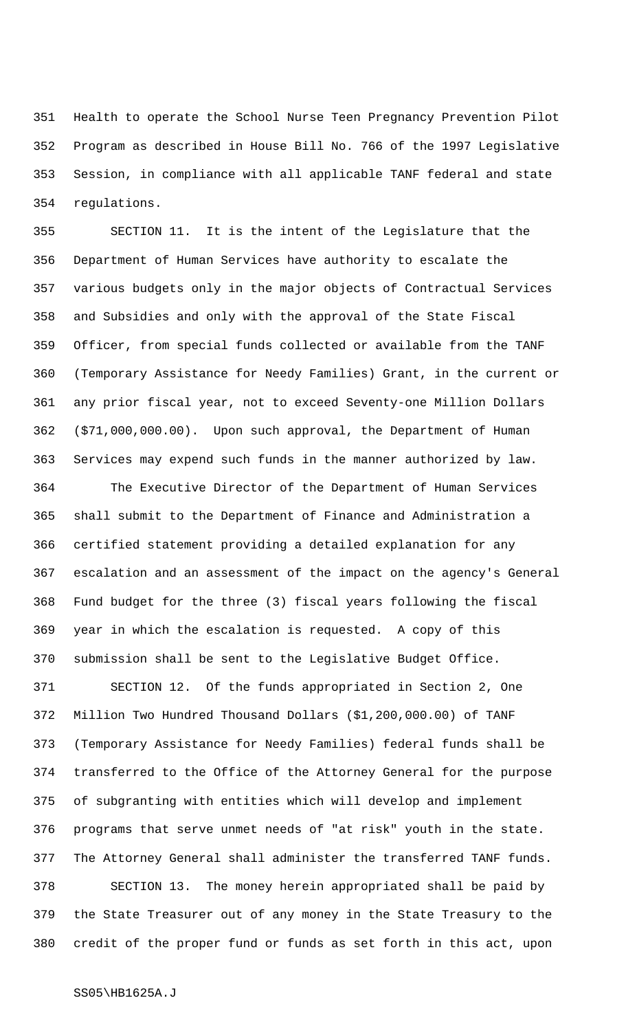Health to operate the School Nurse Teen Pregnancy Prevention Pilot Program as described in House Bill No. 766 of the 1997 Legislative Session, in compliance with all applicable TANF federal and state regulations.

 SECTION 11. It is the intent of the Legislature that the Department of Human Services have authority to escalate the various budgets only in the major objects of Contractual Services and Subsidies and only with the approval of the State Fiscal Officer, from special funds collected or available from the TANF (Temporary Assistance for Needy Families) Grant, in the current or any prior fiscal year, not to exceed Seventy-one Million Dollars (\$71,000,000.00). Upon such approval, the Department of Human Services may expend such funds in the manner authorized by law.

 The Executive Director of the Department of Human Services shall submit to the Department of Finance and Administration a certified statement providing a detailed explanation for any escalation and an assessment of the impact on the agency's General Fund budget for the three (3) fiscal years following the fiscal year in which the escalation is requested. A copy of this submission shall be sent to the Legislative Budget Office.

 SECTION 12. Of the funds appropriated in Section 2, One Million Two Hundred Thousand Dollars (\$1,200,000.00) of TANF (Temporary Assistance for Needy Families) federal funds shall be transferred to the Office of the Attorney General for the purpose of subgranting with entities which will develop and implement programs that serve unmet needs of "at risk" youth in the state. The Attorney General shall administer the transferred TANF funds. SECTION 13. The money herein appropriated shall be paid by the State Treasurer out of any money in the State Treasury to the credit of the proper fund or funds as set forth in this act, upon